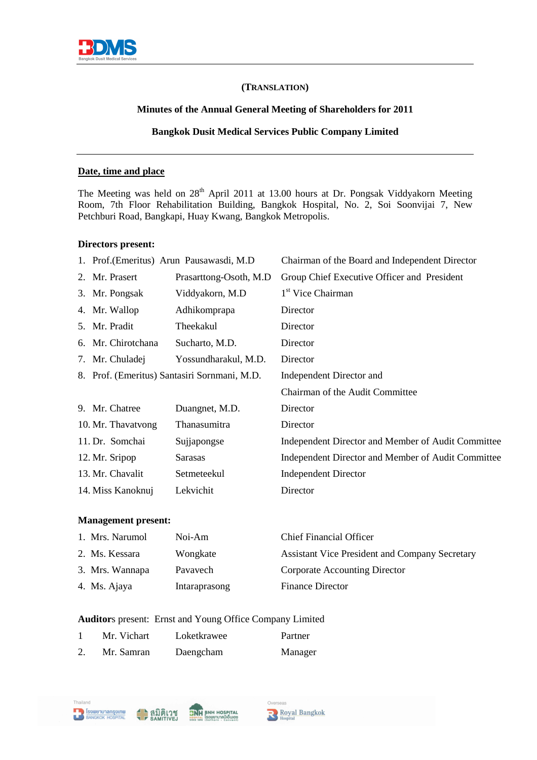

## **(TRANSLATION)**

l

## **Minutes of the Annual General Meeting of Shareholders for 2011**

## **Bangkok Dusit Medical Services Public Company Limited**

### **Date, time and place**

The Meeting was held on 28<sup>th</sup> April 2011 at 13.00 hours at Dr. Pongsak Viddyakorn Meeting Room, 7th Floor Rehabilitation Building, Bangkok Hospital, No. 2, Soi Soonvijai 7, New Petchburi Road, Bangkapi, Huay Kwang, Bangkok Metropolis.

### **Directors present:**

|                    | 1. Prof. (Emeritus) Arun Pausawasdi, M.D.    | Chairman of the Board and Independent Director     |
|--------------------|----------------------------------------------|----------------------------------------------------|
| 2. Mr. Prasert     | Prasarttong-Osoth, M.D.                      | Group Chief Executive Officer and President        |
| 3. Mr. Pongsak     | Viddyakorn, M.D                              | 1 <sup>st</sup> Vice Chairman                      |
| 4. Mr. Wallop      | Adhikomprapa                                 | Director                                           |
| 5. Mr. Pradit      | Theekakul                                    | Director                                           |
| 6. Mr. Chirotchana | Sucharto, M.D.                               | Director                                           |
| 7. Mr. Chuladej    | Yossundharakul, M.D.                         | Director                                           |
|                    | 8. Prof. (Emeritus) Santasiri Sornmani, M.D. | Independent Director and                           |
|                    |                                              | Chairman of the Audit Committee                    |
| 9. Mr. Chatree     | Duangnet, M.D.                               | Director                                           |
| 10. Mr. Thavatvong | Thanasumitra                                 | Director                                           |
| 11. Dr. Somchai    | Sujjapongse                                  | Independent Director and Member of Audit Committee |
| 12. Mr. Sripop     | <b>Sarasas</b>                               | Independent Director and Member of Audit Committee |
| 13. Mr. Chavalit   | Setmeteekul                                  | <b>Independent Director</b>                        |
| 14. Miss Kanoknuj  | Lekvichit                                    | Director                                           |

#### **Management present:**

| 1. Mrs. Narumol | Noi-Am        | <b>Chief Financial Officer</b>                        |
|-----------------|---------------|-------------------------------------------------------|
| 2. Ms. Kessara  | Wongkate      | <b>Assistant Vice President and Company Secretary</b> |
| 3. Mrs. Wannapa | Pavavech      | Corporate Accounting Director                         |
| 4. Ms. Ajaya    | Intaraprasong | <b>Finance Director</b>                               |

### **Auditor**s present: Ernst and Young Office Company Limited

| Mr. Vichart | Loketkrawee | Partner |
|-------------|-------------|---------|
| Mr. Samran  | Daengcham   | Manager |

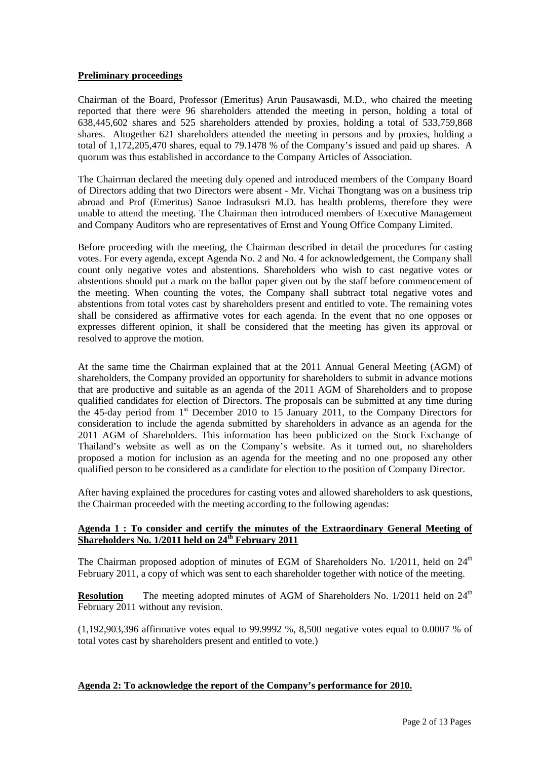### **Preliminary proceedings**

Chairman of the Board, Professor (Emeritus) Arun Pausawasdi, M.D., who chaired the meeting reported that there were 96 shareholders attended the meeting in person, holding a total of 638,445,602 shares and 525 shareholders attended by proxies, holding a total of 533,759,868 shares. Altogether 621 shareholders attended the meeting in persons and by proxies, holding a total of 1,172,205,470 shares, equal to 79.1478 % of the Company's issued and paid up shares. A quorum was thus established in accordance to the Company Articles of Association.

The Chairman declared the meeting duly opened and introduced members of the Company Board of Directors adding that two Directors were absent - Mr. Vichai Thongtang was on a business trip abroad and Prof (Emeritus) Sanoe Indrasuksri M.D. has health problems, therefore they were unable to attend the meeting. The Chairman then introduced members of Executive Management and Company Auditors who are representatives of Ernst and Young Office Company Limited.

Before proceeding with the meeting, the Chairman described in detail the procedures for casting votes. For every agenda, except Agenda No. 2 and No. 4 for acknowledgement, the Company shall count only negative votes and abstentions. Shareholders who wish to cast negative votes or abstentions should put a mark on the ballot paper given out by the staff before commencement of the meeting. When counting the votes, the Company shall subtract total negative votes and abstentions from total votes cast by shareholders present and entitled to vote. The remaining votes shall be considered as affirmative votes for each agenda. In the event that no one opposes or expresses different opinion, it shall be considered that the meeting has given its approval or resolved to approve the motion.

At the same time the Chairman explained that at the 2011 Annual General Meeting (AGM) of shareholders, the Company provided an opportunity for shareholders to submit in advance motions that are productive and suitable as an agenda of the 2011 AGM of Shareholders and to propose qualified candidates for election of Directors. The proposals can be submitted at any time during the 45-day period from 1st December 2010 to 15 January 2011, to the Company Directors for consideration to include the agenda submitted by shareholders in advance as an agenda for the 2011 AGM of Shareholders. This information has been publicized on the Stock Exchange of Thailand's website as well as on the Company's website. As it turned out, no shareholders proposed a motion for inclusion as an agenda for the meeting and no one proposed any other qualified person to be considered as a candidate for election to the position of Company Director.

After having explained the procedures for casting votes and allowed shareholders to ask questions, the Chairman proceeded with the meeting according to the following agendas:

## **Agenda 1 : To consider and certify the minutes of the Extraordinary General Meeting of Shareholders No. 1/2011 held on 24th February 2011**

The Chairman proposed adoption of minutes of EGM of Shareholders No.  $1/2011$ , held on  $24<sup>th</sup>$ February 2011, a copy of which was sent to each shareholder together with notice of the meeting.

**Resolution** The meeting adopted minutes of AGM of Shareholders No. 1/2011 held on 24<sup>th</sup> February 2011 without any revision.

(1,192,903,396 affirmative votes equal to 99.9992 %, 8,500 negative votes equal to 0.0007 % of total votes cast by shareholders present and entitled to vote.)

### **Agenda 2: To acknowledge the report of the Company's performance for 2010.**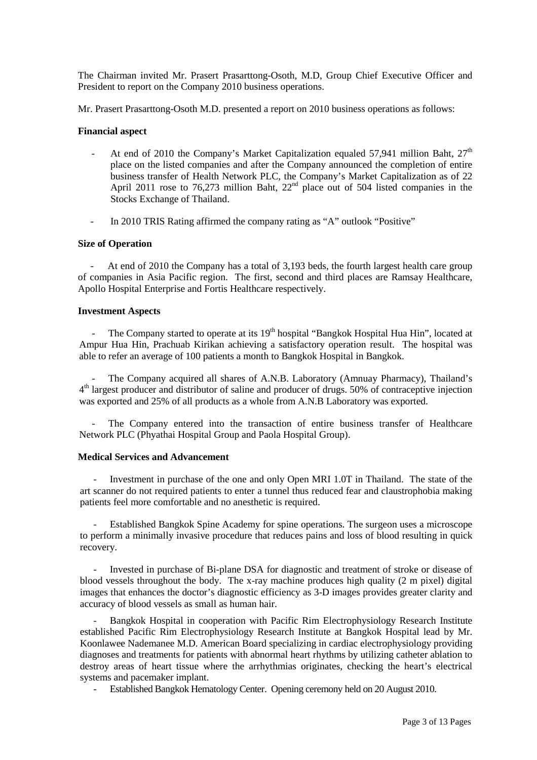The Chairman invited Mr. Prasert Prasarttong-Osoth, M.D, Group Chief Executive Officer and President to report on the Company 2010 business operations.

Mr. Prasert Prasarttong-Osoth M.D. presented a report on 2010 business operations as follows:

### **Financial aspect**

- At end of 2010 the Company's Market Capitalization equaled 57,941 million Baht,  $27<sup>th</sup>$ place on the listed companies and after the Company announced the completion of entire business transfer of Health Network PLC, the Company's Market Capitalization as of 22 April 2011 rose to 76,273 million Baht, 22<sup>nd</sup> place out of 504 listed companies in the Stocks Exchange of Thailand.
- In 2010 TRIS Rating affirmed the company rating as "A" outlook "Positive"

### **Size of Operation**

At end of 2010 the Company has a total of 3,193 beds, the fourth largest health care group of companies in Asia Pacific region. The first, second and third places are Ramsay Healthcare, Apollo Hospital Enterprise and Fortis Healthcare respectively.

### **Investment Aspects**

The Company started to operate at its 19<sup>th</sup> hospital "Bangkok Hospital Hua Hin", located at Ampur Hua Hin, Prachuab Kirikan achieving a satisfactory operation result. The hospital was able to refer an average of 100 patients a month to Bangkok Hospital in Bangkok.

The Company acquired all shares of A.N.B. Laboratory (Amnuay Pharmacy), Thailand's 4<sup>th</sup> largest producer and distributor of saline and producer of drugs. 50% of contraceptive injection was exported and 25% of all products as a whole from A.N.B Laboratory was exported.

The Company entered into the transaction of entire business transfer of Healthcare Network PLC (Phyathai Hospital Group and Paola Hospital Group).

### **Medical Services and Advancement**

- Investment in purchase of the one and only Open MRI 1.0T in Thailand. The state of the art scanner do not required patients to enter a tunnel thus reduced fear and claustrophobia making patients feel more comfortable and no anesthetic is required.

- Established Bangkok Spine Academy for spine operations. The surgeon uses a microscope to perform a minimally invasive procedure that reduces pains and loss of blood resulting in quick recovery.

Invested in purchase of Bi-plane DSA for diagnostic and treatment of stroke or disease of blood vessels throughout the body. The x-ray machine produces high quality (2 m pixel) digital images that enhances the doctor's diagnostic efficiency as 3-D images provides greater clarity and accuracy of blood vessels as small as human hair.

Bangkok Hospital in cooperation with Pacific Rim Electrophysiology Research Institute established Pacific Rim Electrophysiology Research Institute at Bangkok Hospital lead by Mr. Koonlawee Nademanee M.D. American Board specializing in cardiac electrophysiology providing diagnoses and treatments for patients with abnormal heart rhythms by utilizing catheter ablation to destroy areas of heart tissue where the arrhythmias originates, checking the heart's electrical systems and pacemaker implant.

- Established Bangkok Hematology Center. Opening ceremony held on 20 August 2010.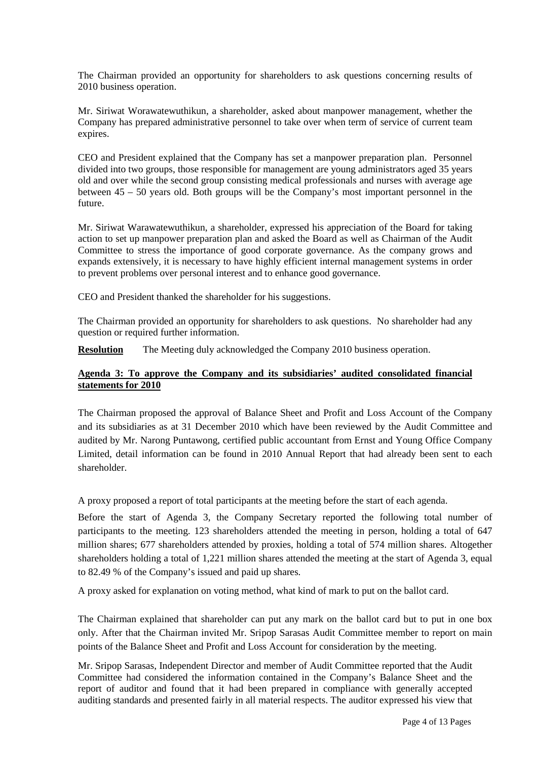The Chairman provided an opportunity for shareholders to ask questions concerning results of 2010 business operation.

Mr. Siriwat Worawatewuthikun, a shareholder, asked about manpower management, whether the Company has prepared administrative personnel to take over when term of service of current team expires.

CEO and President explained that the Company has set a manpower preparation plan. Personnel divided into two groups, those responsible for management are young administrators aged 35 years old and over while the second group consisting medical professionals and nurses with average age between 45 – 50 years old. Both groups will be the Company's most important personnel in the future.

Mr. Siriwat Warawatewuthikun, a shareholder, expressed his appreciation of the Board for taking action to set up manpower preparation plan and asked the Board as well as Chairman of the Audit Committee to stress the importance of good corporate governance. As the company grows and expands extensively, it is necessary to have highly efficient internal management systems in order to prevent problems over personal interest and to enhance good governance.

CEO and President thanked the shareholder for his suggestions.

The Chairman provided an opportunity for shareholders to ask questions. No shareholder had any question or required further information.

**Resolution** The Meeting duly acknowledged the Company 2010 business operation.

## **Agenda 3: To approve the Company and its subsidiaries' audited consolidated financial statements for 2010**

The Chairman proposed the approval of Balance Sheet and Profit and Loss Account of the Company and its subsidiaries as at 31 December 2010 which have been reviewed by the Audit Committee and audited by Mr. Narong Puntawong, certified public accountant from Ernst and Young Office Company Limited, detail information can be found in 2010 Annual Report that had already been sent to each shareholder.

A proxy proposed a report of total participants at the meeting before the start of each agenda.

Before the start of Agenda 3, the Company Secretary reported the following total number of participants to the meeting. 123 shareholders attended the meeting in person, holding a total of 647 million shares; 677 shareholders attended by proxies, holding a total of 574 million shares. Altogether shareholders holding a total of 1,221 million shares attended the meeting at the start of Agenda 3, equal to 82.49 % of the Company's issued and paid up shares.

A proxy asked for explanation on voting method, what kind of mark to put on the ballot card.

The Chairman explained that shareholder can put any mark on the ballot card but to put in one box only. After that the Chairman invited Mr. Sripop Sarasas Audit Committee member to report on main points of the Balance Sheet and Profit and Loss Account for consideration by the meeting.

Mr. Sripop Sarasas, Independent Director and member of Audit Committee reported that the Audit Committee had considered the information contained in the Company's Balance Sheet and the report of auditor and found that it had been prepared in compliance with generally accepted auditing standards and presented fairly in all material respects. The auditor expressed his view that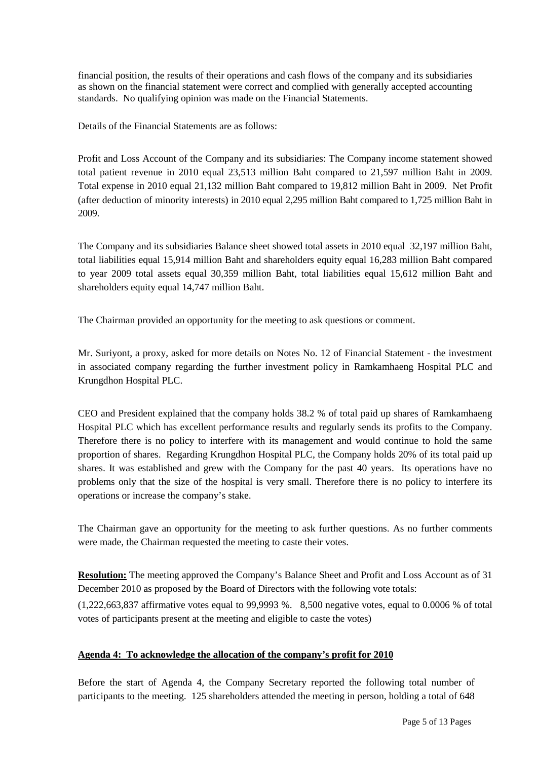financial position, the results of their operations and cash flows of the company and its subsidiaries as shown on the financial statement were correct and complied with generally accepted accounting standards. No qualifying opinion was made on the Financial Statements.

Details of the Financial Statements are as follows:

Profit and Loss Account of the Company and its subsidiaries: The Company income statement showed total patient revenue in 2010 equal 23,513 million Baht compared to 21,597 million Baht in 2009. Total expense in 2010 equal 21,132 million Baht compared to 19,812 million Baht in 2009. Net Profit (after deduction of minority interests) in 2010 equal 2,295 million Baht compared to 1,725 million Baht in 2009.

The Company and its subsidiaries Balance sheet showed total assets in 2010 equal 32,197 million Baht, total liabilities equal 15,914 million Baht and shareholders equity equal 16,283 million Baht compared to year 2009 total assets equal 30,359 million Baht, total liabilities equal 15,612 million Baht and shareholders equity equal 14,747 million Baht.

The Chairman provided an opportunity for the meeting to ask questions or comment.

Mr. Suriyont, a proxy, asked for more details on Notes No. 12 of Financial Statement - the investment in associated company regarding the further investment policy in Ramkamhaeng Hospital PLC and Krungdhon Hospital PLC.

CEO and President explained that the company holds 38.2 % of total paid up shares of Ramkamhaeng Hospital PLC which has excellent performance results and regularly sends its profits to the Company. Therefore there is no policy to interfere with its management and would continue to hold the same proportion of shares. Regarding Krungdhon Hospital PLC, the Company holds 20% of its total paid up shares. It was established and grew with the Company for the past 40 years. Its operations have no problems only that the size of the hospital is very small. Therefore there is no policy to interfere its operations or increase the company's stake.

The Chairman gave an opportunity for the meeting to ask further questions. As no further comments were made, the Chairman requested the meeting to caste their votes.

**Resolution:** The meeting approved the Company's Balance Sheet and Profit and Loss Account as of 31 December 2010 as proposed by the Board of Directors with the following vote totals:

(1,222,663,837 affirmative votes equal to 99,9993 %. 8,500 negative votes, equal to 0.0006 % of total votes of participants present at the meeting and eligible to caste the votes)

## **Agenda 4: To acknowledge the allocation of the company's profit for 2010**

Before the start of Agenda 4, the Company Secretary reported the following total number of participants to the meeting. 125 shareholders attended the meeting in person, holding a total of 648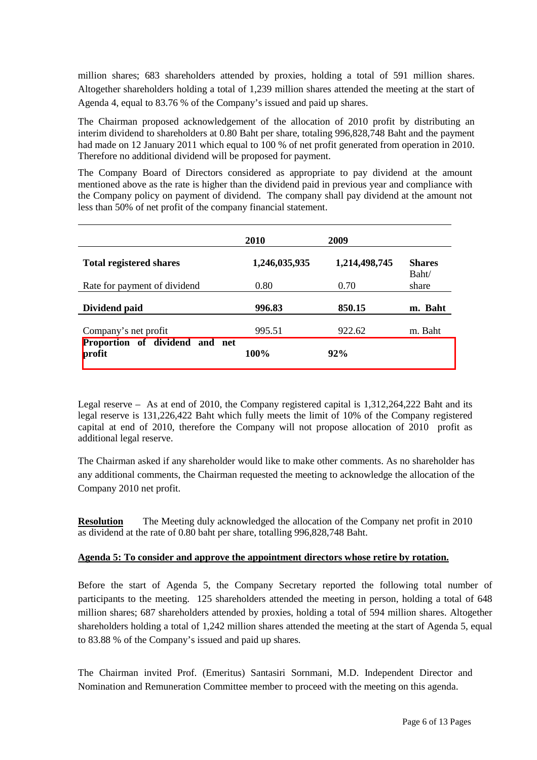million shares; 683 shareholders attended by proxies, holding a total of 591 million shares. Altogether shareholders holding a total of 1,239 million shares attended the meeting at the start of Agenda 4, equal to 83.76 % of the Company's issued and paid up shares.

The Chairman proposed acknowledgement of the allocation of 2010 profit by distributing an interim dividend to shareholders at 0.80 Baht per share, totaling 996,828,748 Baht and the payment had made on 12 January 2011 which equal to 100 % of net profit generated from operation in 2010. Therefore no additional dividend will be proposed for payment.

The Company Board of Directors considered as appropriate to pay dividend at the amount mentioned above as the rate is higher than the dividend paid in previous year and compliance with the Company policy on payment of dividend. The company shall pay dividend at the amount not less than 50% of net profit of the company financial statement.

|                                          | <b>2010</b>   | 2009          |                        |
|------------------------------------------|---------------|---------------|------------------------|
| <b>Total registered shares</b>           | 1,246,035,935 | 1,214,498,745 | <b>Shares</b><br>Baht/ |
| Rate for payment of dividend             | 0.80          | 0.70          | share                  |
| Dividend paid                            | 996.83        | 850.15        | m. Baht                |
| Company's net profit                     | 995.51        | 922.62        | m. Baht                |
| Proportion of dividend and net<br>profit | 100%          | 92%           |                        |

Legal reserve – As at end of 2010, the Company registered capital is 1,312,264,222 Baht and its legal reserve is 131,226,422 Baht which fully meets the limit of 10% of the Company registered capital at end of 2010, therefore the Company will not propose allocation of 2010 profit as additional legal reserve.

The Chairman asked if any shareholder would like to make other comments. As no shareholder has any additional comments, the Chairman requested the meeting to acknowledge the allocation of the Company 2010 net profit.

**Resolution** The Meeting duly acknowledged the allocation of the Company net profit in 2010 as dividend at the rate of 0.80 baht per share, totalling 996,828,748 Baht.

## **Agenda 5: To consider and approve the appointment directors whose retire by rotation.**

Before the start of Agenda 5, the Company Secretary reported the following total number of participants to the meeting. 125 shareholders attended the meeting in person, holding a total of 648 million shares; 687 shareholders attended by proxies, holding a total of 594 million shares. Altogether shareholders holding a total of 1,242 million shares attended the meeting at the start of Agenda 5, equal to 83.88 % of the Company's issued and paid up shares.

The Chairman invited Prof. (Emeritus) Santasiri Sornmani, M.D. Independent Director and Nomination and Remuneration Committee member to proceed with the meeting on this agenda.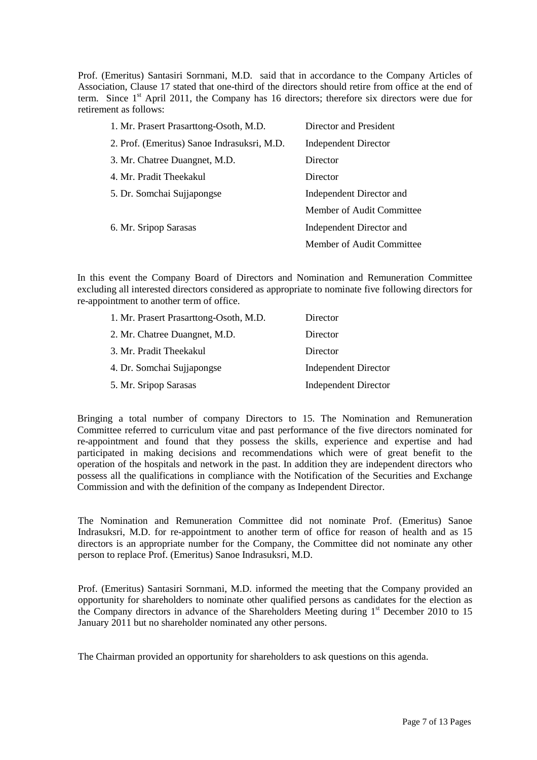Prof. (Emeritus) Santasiri Sornmani, M.D. said that in accordance to the Company Articles of Association, Clause 17 stated that one-third of the directors should retire from office at the end of term. Since  $1<sup>st</sup>$  April 2011, the Company has 16 directors; therefore six directors were due for retirement as follows:

| Director and President      |
|-----------------------------|
| <b>Independent Director</b> |
| Director                    |
| Director                    |
| Independent Director and    |
| Member of Audit Committee   |
| Independent Director and    |
| Member of Audit Committee   |
|                             |

In this event the Company Board of Directors and Nomination and Remuneration Committee excluding all interested directors considered as appropriate to nominate five following directors for re-appointment to another term of office.

| 1. Mr. Prasert Prasarttong-Osoth, M.D. | Director                    |
|----------------------------------------|-----------------------------|
| 2. Mr. Chatree Duangnet, M.D.          | Director                    |
| 3. Mr. Pradit Theekakul                | Director                    |
| 4. Dr. Somchai Sujjapongse             | <b>Independent Director</b> |
| 5. Mr. Sripop Sarasas                  | <b>Independent Director</b> |

Bringing a total number of company Directors to 15. The Nomination and Remuneration Committee referred to curriculum vitae and past performance of the five directors nominated for re-appointment and found that they possess the skills, experience and expertise and had participated in making decisions and recommendations which were of great benefit to the operation of the hospitals and network in the past. In addition they are independent directors who possess all the qualifications in compliance with the Notification of the Securities and Exchange Commission and with the definition of the company as Independent Director.

The Nomination and Remuneration Committee did not nominate Prof. (Emeritus) Sanoe Indrasuksri, M.D. for re-appointment to another term of office for reason of health and as 15 directors is an appropriate number for the Company, the Committee did not nominate any other person to replace Prof. (Emeritus) Sanoe Indrasuksri, M.D.

Prof. (Emeritus) Santasiri Sornmani, M.D. informed the meeting that the Company provided an opportunity for shareholders to nominate other qualified persons as candidates for the election as the Company directors in advance of the Shareholders Meeting during 1<sup>st</sup> December 2010 to 15 January 2011 but no shareholder nominated any other persons.

The Chairman provided an opportunity for shareholders to ask questions on this agenda.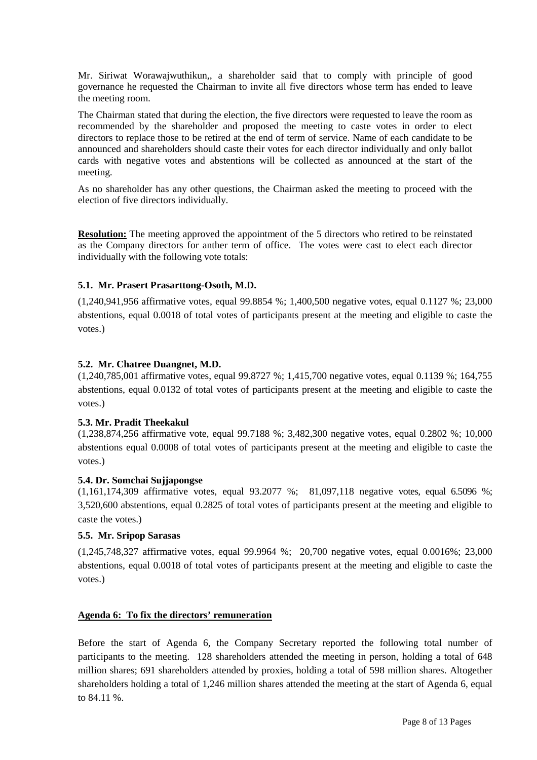Mr. Siriwat Worawajwuthikun,, a shareholder said that to comply with principle of good governance he requested the Chairman to invite all five directors whose term has ended to leave the meeting room.

The Chairman stated that during the election, the five directors were requested to leave the room as recommended by the shareholder and proposed the meeting to caste votes in order to elect directors to replace those to be retired at the end of term of service. Name of each candidate to be announced and shareholders should caste their votes for each director individually and only ballot cards with negative votes and abstentions will be collected as announced at the start of the meeting.

As no shareholder has any other questions, the Chairman asked the meeting to proceed with the election of five directors individually.

**Resolution:** The meeting approved the appointment of the 5 directors who retired to be reinstated as the Company directors for anther term of office. The votes were cast to elect each director individually with the following vote totals:

## **5.1. Mr. Prasert Prasarttong-Osoth, M.D.**

(1,240,941,956 affirmative votes, equal 99.8854 %; 1,400,500 negative votes, equal 0.1127 %; 23,000 abstentions, equal 0.0018 of total votes of participants present at the meeting and eligible to caste the votes.)

### **5.2. Mr. Chatree Duangnet, M.D.**

(1,240,785,001 affirmative votes, equal 99.8727 %; 1,415,700 negative votes, equal 0.1139 %; 164,755 abstentions, equal 0.0132 of total votes of participants present at the meeting and eligible to caste the votes.)

### **5.3. Mr. Pradit Theekakul**

(1,238,874,256 affirmative vote, equal 99.7188 %; 3,482,300 negative votes, equal 0.2802 %; 10,000 abstentions equal 0.0008 of total votes of participants present at the meeting and eligible to caste the votes.)

### **5.4. Dr. Somchai Sujjapongse**

(1,161,174,309 affirmative votes, equal 93.2077 %; 81,097,118 negative votes, equal 6.5096 %; 3,520,600 abstentions, equal 0.2825 of total votes of participants present at the meeting and eligible to caste the votes.)

## **5.5. Mr. Sripop Sarasas**

(1,245,748,327 affirmative votes, equal 99.9964 %; 20,700 negative votes, equal 0.0016%; 23,000 abstentions, equal 0.0018 of total votes of participants present at the meeting and eligible to caste the votes.)

## **Agenda 6: To fix the directors' remuneration**

Before the start of Agenda 6, the Company Secretary reported the following total number of participants to the meeting. 128 shareholders attended the meeting in person, holding a total of 648 million shares; 691 shareholders attended by proxies, holding a total of 598 million shares. Altogether shareholders holding a total of 1,246 million shares attended the meeting at the start of Agenda 6, equal to 84.11 %.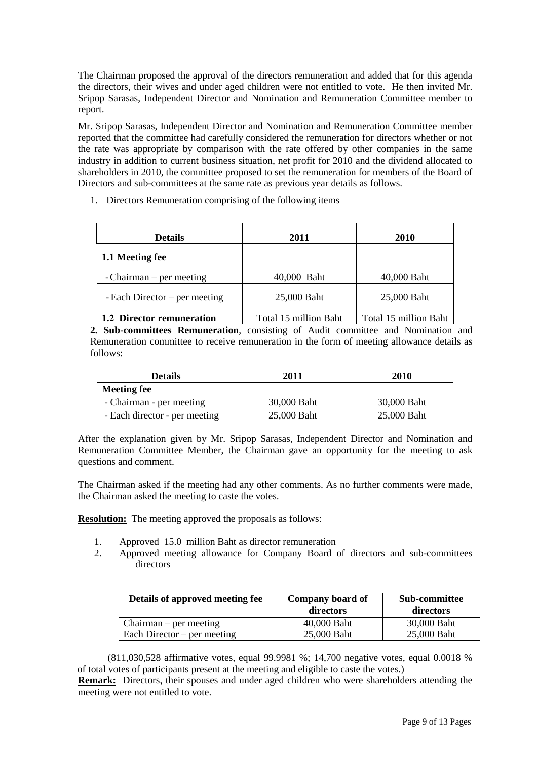The Chairman proposed the approval of the directors remuneration and added that for this agenda the directors, their wives and under aged children were not entitled to vote. He then invited Mr. Sripop Sarasas, Independent Director and Nomination and Remuneration Committee member to report.

Mr. Sripop Sarasas, Independent Director and Nomination and Remuneration Committee member reported that the committee had carefully considered the remuneration for directors whether or not the rate was appropriate by comparison with the rate offered by other companies in the same industry in addition to current business situation, net profit for 2010 and the dividend allocated to shareholders in 2010, the committee proposed to set the remuneration for members of the Board of Directors and sub-committees at the same rate as previous year details as follows.

1. Directors Remuneration comprising of the following items

| <b>Details</b>                  | 2011                  | 2010                  |
|---------------------------------|-----------------------|-----------------------|
| 1.1 Meeting fee                 |                       |                       |
| - Chairman – per meeting        | 40,000 Baht           | 40,000 Baht           |
| - Each Director $-$ per meeting | 25,000 Baht           | 25,000 Baht           |
| 1.2 Director remuneration       | Total 15 million Baht | Total 15 million Baht |

**2. Sub-committees Remuneration**, consisting of Audit committee and Nomination and Remuneration committee to receive remuneration in the form of meeting allowance details as follows:

| <b>Details</b>                | 2011        | 2010        |
|-------------------------------|-------------|-------------|
| <b>Meeting fee</b>            |             |             |
| - Chairman - per meeting      | 30,000 Baht | 30,000 Baht |
| - Each director - per meeting | 25,000 Baht | 25,000 Baht |

After the explanation given by Mr. Sripop Sarasas, Independent Director and Nomination and Remuneration Committee Member, the Chairman gave an opportunity for the meeting to ask questions and comment.

The Chairman asked if the meeting had any other comments. As no further comments were made, the Chairman asked the meeting to caste the votes.

**Resolution:** The meeting approved the proposals as follows:

- 1. Approved 15.0 million Baht as director remuneration
- 2. Approved meeting allowance for Company Board of directors and sub-committees directors

| Details of approved meeting fee | Company board of<br>directors | Sub-committee<br>directors |
|---------------------------------|-------------------------------|----------------------------|
| Chairman – per meeting          | 40,000 Baht                   | 30,000 Baht                |
| Each Director – per meeting     | 25,000 Baht                   | 25,000 Baht                |

(811,030,528 affirmative votes, equal 99.9981 %; 14,700 negative votes, equal 0.0018 % of total votes of participants present at the meeting and eligible to caste the votes.)

**Remark:** Directors, their spouses and under aged children who were shareholders attending the meeting were not entitled to vote.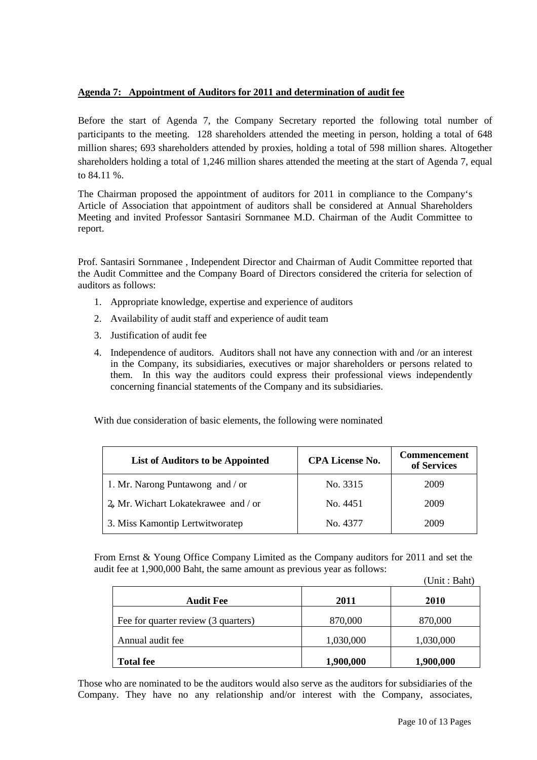# **Agenda 7: Appointment of Auditors for 2011 and determination of audit fee**

Before the start of Agenda 7, the Company Secretary reported the following total number of participants to the meeting. 128 shareholders attended the meeting in person, holding a total of 648 million shares; 693 shareholders attended by proxies, holding a total of 598 million shares. Altogether shareholders holding a total of 1,246 million shares attended the meeting at the start of Agenda 7, equal to 84.11 %.

The Chairman proposed the appointment of auditors for 2011 in compliance to the Company's Article of Association that appointment of auditors shall be considered at Annual Shareholders Meeting and invited Professor Santasiri Sornmanee M.D. Chairman of the Audit Committee to report.

Prof. Santasiri Sornmanee , Independent Director and Chairman of Audit Committee reported that the Audit Committee and the Company Board of Directors considered the criteria for selection of auditors as follows:

- 1. Appropriate knowledge, expertise and experience of auditors
- 2. Availability of audit staff and experience of audit team
- 3. Justification of audit fee
- 4. Independence of auditors. Auditors shall not have any connection with and /or an interest in the Company, its subsidiaries, executives or major shareholders or persons related to them. In this way the auditors could express their professional views independently concerning financial statements of the Company and its subsidiaries.

With due consideration of basic elements, the following were nominated

| List of Auditors to be Appointed       | <b>CPA License No.</b> | <b>Commencement</b><br>of Services |
|----------------------------------------|------------------------|------------------------------------|
| 1. Mr. Narong Puntawong and / or       | No. 3315               | 2009                               |
| $2a$ Mr. Wichart Lokatekrawee and / or | No. 4451               | 2009                               |
| 3. Miss Kamontip Lertwitworatep        | No. 4377               | 2009                               |

From Ernst & Young Office Company Limited as the Company auditors for 2011 and set the audit fee at 1,900,000 Baht, the same amount as previous year as follows:  $(IInit \cdot Path)$ 

|                                     |           | UIIII. Daily |
|-------------------------------------|-----------|--------------|
| <b>Audit Fee</b>                    | 2011      | 2010         |
| Fee for quarter review (3 quarters) | 870,000   | 870,000      |
| Annual audit fee                    | 1,030,000 | 1,030,000    |
| <b>Total fee</b>                    | 1,900,000 | 1,900,000    |

Those who are nominated to be the auditors would also serve as the auditors for subsidiaries of the Company. They have no any relationship and/or interest with the Company, associates,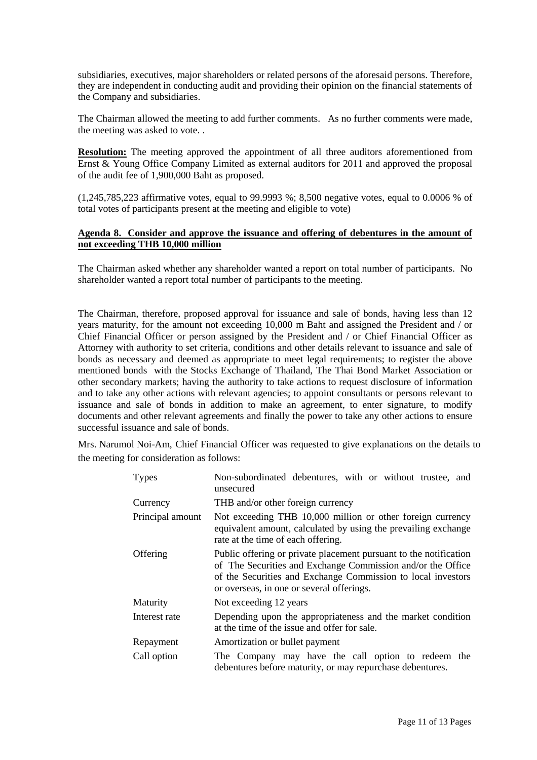subsidiaries, executives, major shareholders or related persons of the aforesaid persons. Therefore, they are independent in conducting audit and providing their opinion on the financial statements of the Company and subsidiaries.

The Chairman allowed the meeting to add further comments. As no further comments were made, the meeting was asked to vote. .

**Resolution:** The meeting approved the appointment of all three auditors aforementioned from Ernst & Young Office Company Limited as external auditors for 2011 and approved the proposal of the audit fee of 1,900,000 Baht as proposed.

(1,245,785,223 affirmative votes, equal to 99.9993 %; 8,500 negative votes, equal to 0.0006 % of total votes of participants present at the meeting and eligible to vote)

### **Agenda 8. Consider and approve the issuance and offering of debentures in the amount of not exceeding THB 10,000 million**

The Chairman asked whether any shareholder wanted a report on total number of participants. No shareholder wanted a report total number of participants to the meeting.

The Chairman, therefore, proposed approval for issuance and sale of bonds, having less than 12 years maturity, for the amount not exceeding 10,000 m Baht and assigned the President and / or Chief Financial Officer or person assigned by the President and / or Chief Financial Officer as Attorney with authority to set criteria, conditions and other details relevant to issuance and sale of bonds as necessary and deemed as appropriate to meet legal requirements; to register the above mentioned bonds with the Stocks Exchange of Thailand, The Thai Bond Market Association or other secondary markets; having the authority to take actions to request disclosure of information and to take any other actions with relevant agencies; to appoint consultants or persons relevant to issuance and sale of bonds in addition to make an agreement, to enter signature, to modify documents and other relevant agreements and finally the power to take any other actions to ensure successful issuance and sale of bonds.

Mrs. Narumol Noi-Am, Chief Financial Officer was requested to give explanations on the details to the meeting for consideration as follows:

| <b>Types</b>     | Non-subordinated debentures, with or without trustee, and<br>unsecured                                                                                                                                                                        |  |  |
|------------------|-----------------------------------------------------------------------------------------------------------------------------------------------------------------------------------------------------------------------------------------------|--|--|
| Currency         | THB and/or other foreign currency                                                                                                                                                                                                             |  |  |
| Principal amount | Not exceeding THB 10,000 million or other foreign currency<br>equivalent amount, calculated by using the prevailing exchange<br>rate at the time of each offering.                                                                            |  |  |
| Offering         | Public offering or private placement pursuant to the notification<br>of The Securities and Exchange Commission and/or the Office<br>of the Securities and Exchange Commission to local investors<br>or overseas, in one or several offerings. |  |  |
| Maturity         | Not exceeding 12 years                                                                                                                                                                                                                        |  |  |
| Interest rate    | Depending upon the appropriateness and the market condition<br>at the time of the issue and offer for sale.                                                                                                                                   |  |  |
| Repayment        | Amortization or bullet payment                                                                                                                                                                                                                |  |  |
| Call option      | The Company may have the call option to redeem the<br>debentures before maturity, or may repurchase debentures.                                                                                                                               |  |  |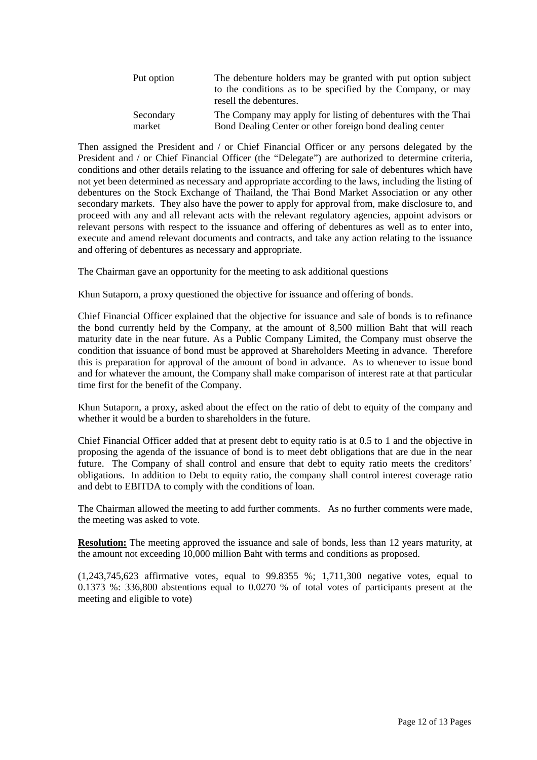| Put option | The debenture holders may be granted with put option subject<br>to the conditions as to be specified by the Company, or may<br>resell the debentures. |
|------------|-------------------------------------------------------------------------------------------------------------------------------------------------------|
| Secondary  | The Company may apply for listing of debentures with the Thai                                                                                         |
| market     | Bond Dealing Center or other foreign bond dealing center                                                                                              |

Then assigned the President and / or Chief Financial Officer or any persons delegated by the President and / or Chief Financial Officer (the "Delegate") are authorized to determine criteria, conditions and other details relating to the issuance and offering for sale of debentures which have not yet been determined as necessary and appropriate according to the laws, including the listing of debentures on the Stock Exchange of Thailand, the Thai Bond Market Association or any other secondary markets. They also have the power to apply for approval from, make disclosure to, and proceed with any and all relevant acts with the relevant regulatory agencies, appoint advisors or relevant persons with respect to the issuance and offering of debentures as well as to enter into, execute and amend relevant documents and contracts, and take any action relating to the issuance and offering of debentures as necessary and appropriate.

The Chairman gave an opportunity for the meeting to ask additional questions

Khun Sutaporn, a proxy questioned the objective for issuance and offering of bonds.

Chief Financial Officer explained that the objective for issuance and sale of bonds is to refinance the bond currently held by the Company, at the amount of 8,500 million Baht that will reach maturity date in the near future. As a Public Company Limited, the Company must observe the condition that issuance of bond must be approved at Shareholders Meeting in advance. Therefore this is preparation for approval of the amount of bond in advance. As to whenever to issue bond and for whatever the amount, the Company shall make comparison of interest rate at that particular time first for the benefit of the Company.

Khun Sutaporn, a proxy, asked about the effect on the ratio of debt to equity of the company and whether it would be a burden to shareholders in the future.

Chief Financial Officer added that at present debt to equity ratio is at 0.5 to 1 and the objective in proposing the agenda of the issuance of bond is to meet debt obligations that are due in the near future. The Company of shall control and ensure that debt to equity ratio meets the creditors' obligations. In addition to Debt to equity ratio, the company shall control interest coverage ratio and debt to EBITDA to comply with the conditions of loan.

The Chairman allowed the meeting to add further comments. As no further comments were made, the meeting was asked to vote.

**Resolution:** The meeting approved the issuance and sale of bonds, less than 12 years maturity, at the amount not exceeding 10,000 million Baht with terms and conditions as proposed.

(1,243,745,623 affirmative votes, equal to 99.8355 %; 1,711,300 negative votes, equal to 0.1373 %: 336,800 abstentions equal to 0.0270 % of total votes of participants present at the meeting and eligible to vote)